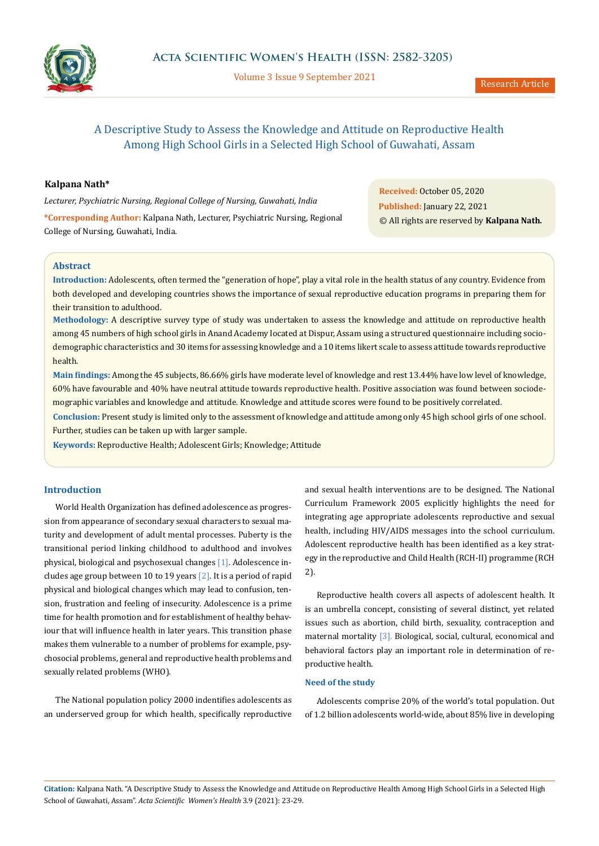

Volume 3 Issue 9 September 2021

# A Descriptive Study to Assess the Knowledge and Attitude on Reproductive Health Among High School Girls in a Selected High School of Guwahati, Assam

# **Kalpana Nath\***

*Lecturer, Psychiatric Nursing, Regional College of Nursing, Guwahati, India*

**\*Corresponding Author:** Kalpana Nath, Lecturer, Psychiatric Nursing, Regional College of Nursing, Guwahati, India.

**Received:** October 05, 2020 **Published:** January 22, 2021 © All rights are reserved by **Kalpana Nath***.*

#### **Abstract**

**Introduction:** Adolescents, often termed the "generation of hope", play a vital role in the health status of any country. Evidence from both developed and developing countries shows the importance of sexual reproductive education programs in preparing them for their transition to adulthood.

**Methodology:** A descriptive survey type of study was undertaken to assess the knowledge and attitude on reproductive health among 45 numbers of high school girls in Anand Academy located at Dispur, Assam using a structured questionnaire including sociodemographic characteristics and 30 items for assessing knowledge and a 10 items likert scale to assess attitude towards reproductive health.

**Main findings:** Among the 45 subjects, 86.66% girls have moderate level of knowledge and rest 13.44% have low level of knowledge, 60% have favourable and 40% have neutral attitude towards reproductive health. Positive association was found between sociodemographic variables and knowledge and attitude. Knowledge and attitude scores were found to be positively correlated.

**Conclusion:** Present study is limited only to the assessment of knowledge and attitude among only 45 high school girls of one school. Further, studies can be taken up with larger sample.

**Keywords:** Reproductive Health; Adolescent Girls; Knowledge; Attitude

## **Introduction**

World Health Organization has defined adolescence as progression from appearance of secondary sexual characters to sexual maturity and development of adult mental processes. Puberty is the transitional period linking childhood to adulthood and involves physical, biological and psychosexual changes [1]. Adolescence includes age group between 10 to 19 years  $[2]$ . It is a period of rapid physical and biological changes which may lead to confusion, tension, frustration and feeling of insecurity. Adolescence is a prime time for health promotion and for establishment of healthy behaviour that will influence health in later years. This transition phase makes them vulnerable to a number of problems for example, psychosocial problems, general and reproductive health problems and sexually related problems (WHO).

The National population policy 2000 indentifies adolescents as an underserved group for which health, specifically reproductive

and sexual health interventions are to be designed. The National Curriculum Framework 2005 explicitly highlights the need for integrating age appropriate adolescents reproductive and sexual health, including HIV/AIDS messages into the school curriculum. Adolescent reproductive health has been identified as a key strategy in the reproductive and Child Health (RCH-II) programme (RCH 2).

Reproductive health covers all aspects of adolescent health. It is an umbrella concept, consisting of several distinct, yet related issues such as abortion, child birth, sexuality, contraception and maternal mortality <a>[3]</a>. Biological, social, cultural, economical and behavioral factors play an important role in determination of reproductive health.

#### **Need of the study**

Adolescents comprise 20% of the world's total population. Out of 1.2 billion adolescents world-wide, about 85% live in developing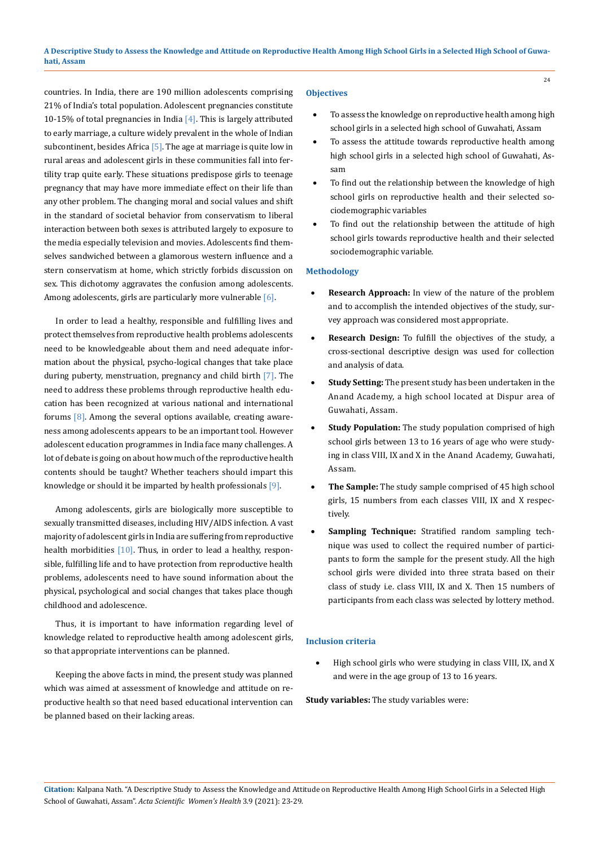countries. In India, there are 190 million adolescents comprising 21% of India's total population. Adolescent pregnancies constitute 10-15% of total pregnancies in India  $[4]$ . This is largely attributed to early marriage, a culture widely prevalent in the whole of Indian subcontinent, besides Africa  $[5]$ . The age at marriage is quite low in rural areas and adolescent girls in these communities fall into fertility trap quite early. These situations predispose girls to teenage pregnancy that may have more immediate effect on their life than any other problem. The changing moral and social values and shift in the standard of societal behavior from conservatism to liberal interaction between both sexes is attributed largely to exposure to the media especially television and movies. Adolescents find themselves sandwiched between a glamorous western influence and a stern conservatism at home, which strictly forbids discussion on sex. This dichotomy aggravates the confusion among adolescents. Among adolescents, girls are particularly more vulnerable [6].

In order to lead a healthy, responsible and fulfilling lives and protect themselves from reproductive health problems adolescents need to be knowledgeable about them and need adequate information about the physical, psycho-logical changes that take place during puberty, menstruation, pregnancy and child birth [7]. The need to address these problems through reproductive health education has been recognized at various national and international forums  $[8]$ . Among the several options available, creating awareness among adolescents appears to be an important tool. However adolescent education programmes in India face many challenges. A lot of debate is going on about how much of the reproductive health contents should be taught? Whether teachers should impart this knowledge or should it be imparted by health professionals [9].

Among adolescents, girls are biologically more susceptible to sexually transmitted diseases, including HIV/AIDS infection. A vast majority of adolescent girls in India are suffering from reproductive health morbidities  $[10]$ . Thus, in order to lead a healthy, responsible, fulfilling life and to have protection from reproductive health problems, adolescents need to have sound information about the physical, psychological and social changes that takes place though childhood and adolescence.

Thus, it is important to have information regarding level of knowledge related to reproductive health among adolescent girls, so that appropriate interventions can be planned.

Keeping the above facts in mind, the present study was planned which was aimed at assessment of knowledge and attitude on reproductive health so that need based educational intervention can be planned based on their lacking areas.

#### **Objectives**

To assess the knowledge on reproductive health among high school girls in a selected high school of Guwahati, Assam

24

- To assess the attitude towards reproductive health among high school girls in a selected high school of Guwahati, Assam
- To find out the relationship between the knowledge of high school girls on reproductive health and their selected sociodemographic variables
- To find out the relationship between the attitude of high school girls towards reproductive health and their selected sociodemographic variable.

## **Methodology**

- **Research Approach:** In view of the nature of the problem and to accomplish the intended objectives of the study, survey approach was considered most appropriate.
- **Research Design:** To fulfill the objectives of the study, a cross-sectional descriptive design was used for collection and analysis of data.
- **Study Setting:** The present study has been undertaken in the Anand Academy, a high school located at Dispur area of Guwahati, Assam.
- **Study Population:** The study population comprised of high school girls between 13 to 16 years of age who were studying in class VIII, IX and X in the Anand Academy, Guwahati, Assam.
- The Sample: The study sample comprised of 45 high school girls, 15 numbers from each classes VIII, IX and X respectively.
- **Sampling Technique:** Stratified random sampling technique was used to collect the required number of participants to form the sample for the present study. All the high school girls were divided into three strata based on their class of study i.e. class VIII, IX and X. Then 15 numbers of participants from each class was selected by lottery method.

# **Inclusion criteria**

High school girls who were studying in class VIII, IX, and X and were in the age group of 13 to 16 years.

**Study variables:** The study variables were: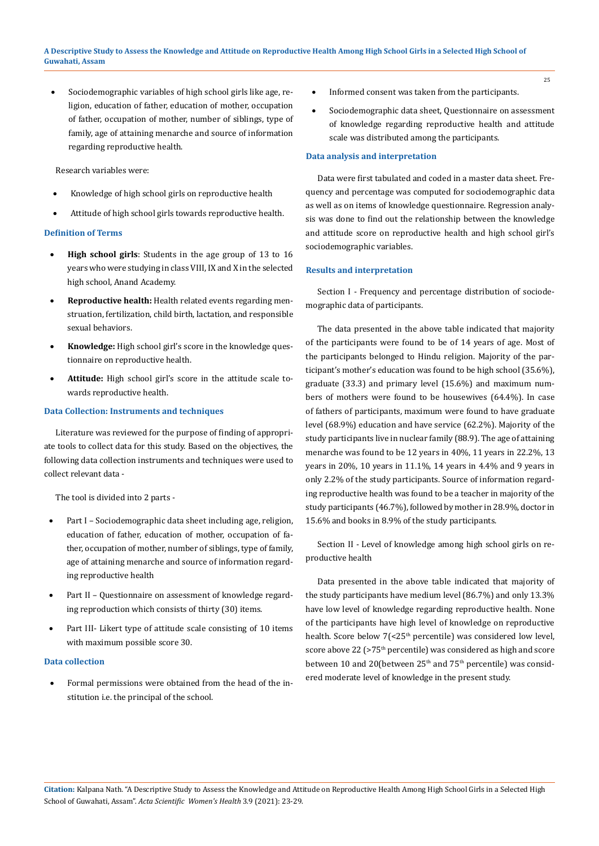Sociodemographic variables of high school girls like age, religion, education of father, education of mother, occupation of father, occupation of mother, number of siblings, type of family, age of attaining menarche and source of information regarding reproductive health.

Research variables were:

- Knowledge of high school girls on reproductive health
- Attitude of high school girls towards reproductive health.

#### **Definition of Terms**

- High school girls: Students in the age group of 13 to 16 years who were studying in class VIII, IX and X in the selected high school, Anand Academy.
- **Reproductive health:** Health related events regarding menstruation, fertilization, child birth, lactation, and responsible sexual behaviors.
- Knowledge: High school girl's score in the knowledge questionnaire on reproductive health.
- Attitude: High school girl's score in the attitude scale towards reproductive health.

#### **Data Collection: Instruments and techniques**

Literature was reviewed for the purpose of finding of appropriate tools to collect data for this study. Based on the objectives, the following data collection instruments and techniques were used to collect relevant data -

The tool is divided into 2 parts -

- Part I Sociodemographic data sheet including age, religion, education of father, education of mother, occupation of father, occupation of mother, number of siblings, type of family, age of attaining menarche and source of information regarding reproductive health
- Part II Questionnaire on assessment of knowledge regarding reproduction which consists of thirty (30) items.
- Part III- Likert type of attitude scale consisting of 10 items with maximum possible score 30.

#### **Data collection**

Formal permissions were obtained from the head of the institution i.e. the principal of the school.

- Informed consent was taken from the participants.
- Sociodemographic data sheet, Questionnaire on assessment of knowledge regarding reproductive health and attitude scale was distributed among the participants.

## **Data analysis and interpretation**

Data were first tabulated and coded in a master data sheet. Frequency and percentage was computed for sociodemographic data as well as on items of knowledge questionnaire. Regression analysis was done to find out the relationship between the knowledge and attitude score on reproductive health and high school girl's sociodemographic variables.

#### **Results and interpretation**

Section I - Frequency and percentage distribution of sociodemographic data of participants.

The data presented in the above table indicated that majority of the participants were found to be of 14 years of age. Most of the participants belonged to Hindu religion. Majority of the participant's mother's education was found to be high school (35.6%), graduate (33.3) and primary level (15.6%) and maximum numbers of mothers were found to be housewives (64.4%). In case of fathers of participants, maximum were found to have graduate level (68.9%) education and have service (62.2%). Majority of the study participants live in nuclear family (88.9). The age of attaining menarche was found to be 12 years in 40%, 11 years in 22.2%, 13 years in 20%, 10 years in 11.1%, 14 years in 4.4% and 9 years in only 2.2% of the study participants. Source of information regarding reproductive health was found to be a teacher in majority of the study participants (46.7%), followed by mother in 28.9%, doctor in 15.6% and books in 8.9% of the study participants.

Section II - Level of knowledge among high school girls on reproductive health

Data presented in the above table indicated that majority of the study participants have medium level (86.7%) and only 13.3% have low level of knowledge regarding reproductive health. None of the participants have high level of knowledge on reproductive health. Score below 7(<25<sup>th</sup> percentile) was considered low level, score above 22 (>75<sup>th</sup> percentile) was considered as high and score between 10 and 20(between 25<sup>th</sup> and 75<sup>th</sup> percentile) was considered moderate level of knowledge in the present study.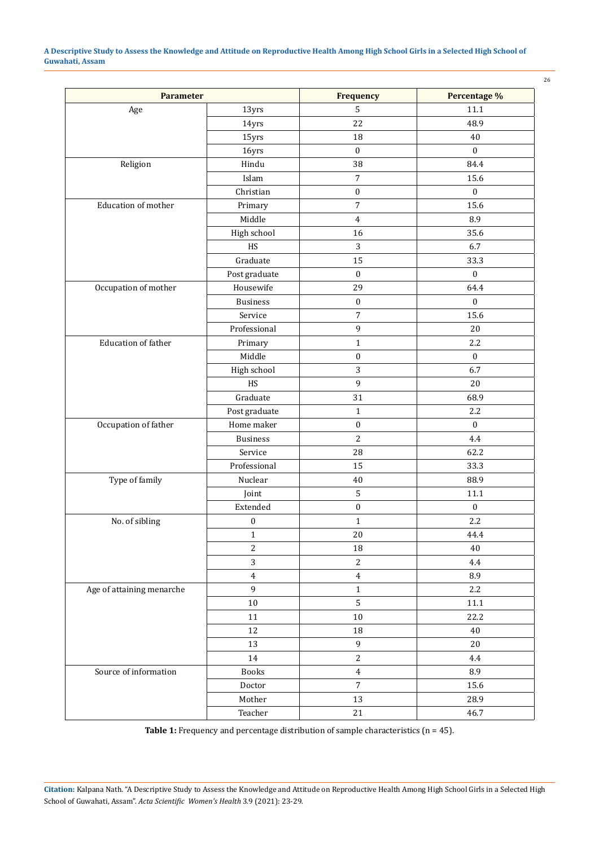**A Descriptive Study to Assess the Knowledge and Attitude on Reproductive Health Among High School Girls in a Selected High School of Guwahati, Assam**

| <b>Parameter</b>           |                              | <b>Frequency</b> | Percentage %     |
|----------------------------|------------------------------|------------------|------------------|
| Age                        | 13yrs                        | 5                | $11.1\,$         |
|                            | 14yrs                        | 22               | 48.9             |
|                            | 15yrs                        | 18               | 40               |
|                            | 16yrs                        | $\boldsymbol{0}$ | $\boldsymbol{0}$ |
| Religion                   | Hindu                        | 38               | 84.4             |
|                            | Islam                        | $\overline{7}$   | 15.6             |
|                            | Christian                    | $\boldsymbol{0}$ | $\boldsymbol{0}$ |
| Education of mother        | Primary                      | $\sqrt{ }$       | 15.6             |
|                            | Middle                       | $\overline{4}$   | 8.9              |
|                            | High school                  | 16               | 35.6             |
|                            | HS                           | $\mathbf{3}$     | 6.7              |
|                            | Graduate                     | 15               | 33.3             |
|                            | Post graduate                | $\boldsymbol{0}$ | $\boldsymbol{0}$ |
| Occupation of mother       | Housewife                    | 29               | 64.4             |
|                            | <b>Business</b>              | $\boldsymbol{0}$ | $\boldsymbol{0}$ |
|                            | Service                      | $\sqrt{ }$       | 15.6             |
|                            | Professional                 | 9                | 20               |
| <b>Education of father</b> | Primary                      | $\mathbf 1$      | 2.2              |
|                            | Middle                       | $\boldsymbol{0}$ | $\boldsymbol{0}$ |
|                            | High school                  | $\overline{3}$   | 6.7              |
|                            | HS                           | 9                | 20               |
|                            | Graduate                     | 31               | 68.9             |
|                            | Post graduate                | $\mathbf 1$      | 2.2              |
| Occupation of father       | Home maker                   | $\boldsymbol{0}$ | $\mathbf 0$      |
|                            | <b>Business</b>              | $\sqrt{2}$       | 4.4              |
|                            | Service                      | 28               | 62.2             |
|                            | Professional                 | 15               | 33.3             |
| Type of family             | Nuclear                      | 40               | 88.9             |
|                            | Joint                        | $\mathsf S$      | 11.1             |
|                            | Extended                     | $\boldsymbol{0}$ | $\boldsymbol{0}$ |
| No. of sibling             | $\boldsymbol{0}$             | $\mathbf{1}$     | 2.2              |
|                            | $\mathbf{1}$                 | $20\,$           | 44.4             |
|                            | $\overline{c}$               | 18               | 40               |
|                            | 3                            | $\sqrt{2}$       | 4.4              |
|                            | $\overline{4}$               | $\overline{4}$   | 8.9              |
| Age of attaining menarche  | 9                            | $\mathbf 1$      | 2.2              |
|                            | $10\,$                       | 5                | $11.1\,$         |
|                            | 11                           | $10\,$           | 22.2             |
|                            | 12                           | 18               | 40               |
|                            | 13                           | $\mathbf 9$      | $20\,$           |
|                            | 14                           | $\mathbf{2}$     | 4.4              |
| Source of information      | <b>Books</b>                 | $\overline{4}$   | 8.9              |
|                            | $\mathop{\text{\rm Doctor}}$ | $\sqrt{ }$       | 15.6             |
|                            | Mother                       | 13               | 28.9             |
|                            | Teacher                      | 21               | 46.7             |

**Table 1:** Frequency and percentage distribution of sample characteristics (n = 45).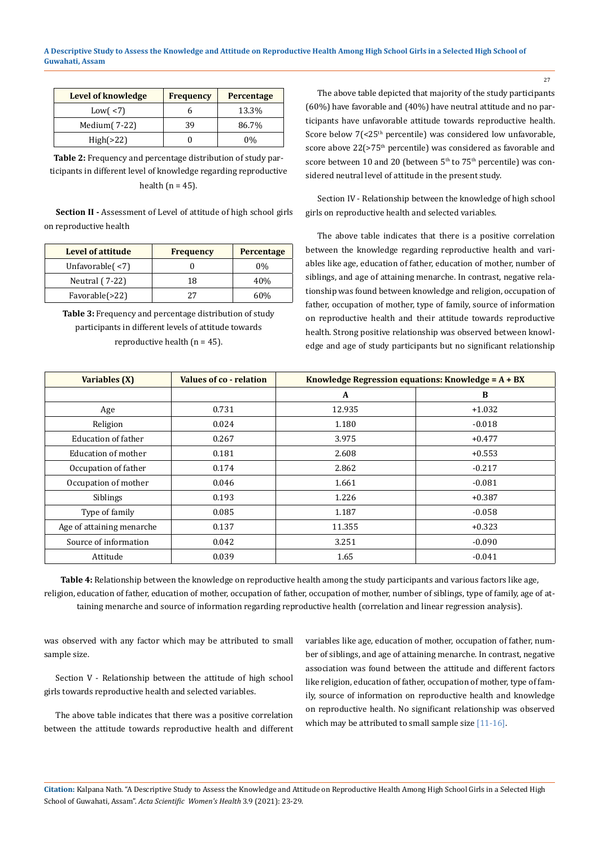| Level of knowledge | <b>Frequency</b> | Percentage |
|--------------------|------------------|------------|
| Low $($ <7)        |                  | 13.3%      |
| Medium $(7-22)$    | 39               | 86.7%      |
| High( >22)         |                  | $0\%$      |

**Table 2:** Frequency and percentage distribution of study participants in different level of knowledge regarding reproductive health ( $n = 45$ ).

**Section II -** Assessment of Level of attitude of high school girls on reproductive health

| <b>Level of attitude</b> | <b>Frequency</b> | Percentage |
|--------------------------|------------------|------------|
| Unfavorable $($ <7)      |                  | $0\%$      |
| Neutral (7-22)           | 18               | 40%        |
| Favorable(>22)           | フフ               | 60%        |

**Table 3:** Frequency and percentage distribution of study participants in different levels of attitude towards reproductive health ( $n = 45$ ).

The above table depicted that majority of the study participants (60%) have favorable and (40%) have neutral attitude and no participants have unfavorable attitude towards reproductive health. Score below 7(<25<sup>th</sup> percentile) was considered low unfavorable, score above 22(>75<sup>th</sup> percentile) was considered as favorable and score between 10 and 20 (between 5<sup>th</sup> to 75<sup>th</sup> percentile) was considered neutral level of attitude in the present study.

Section IV - Relationship between the knowledge of high school girls on reproductive health and selected variables.

The above table indicates that there is a positive correlation between the knowledge regarding reproductive health and variables like age, education of father, education of mother, number of siblings, and age of attaining menarche. In contrast, negative relationship was found between knowledge and religion, occupation of father, occupation of mother, type of family, source of information on reproductive health and their attitude towards reproductive health. Strong positive relationship was observed between knowledge and age of study participants but no significant relationship

| Variables (X)              | Values of co - relation | Knowledge Regression equations: Knowledge = $A + BX$ |          |  |
|----------------------------|-------------------------|------------------------------------------------------|----------|--|
|                            |                         | A                                                    | B        |  |
| Age                        | 0.731                   | 12.935                                               | $+1.032$ |  |
| Religion                   | 0.024                   | 1.180                                                | $-0.018$ |  |
| <b>Education of father</b> | 0.267                   | 3.975                                                | $+0.477$ |  |
| Education of mother        | 0.181                   | 2.608                                                | $+0.553$ |  |
| Occupation of father       | 0.174                   | 2.862                                                | $-0.217$ |  |
| Occupation of mother       | 0.046                   | 1.661                                                | $-0.081$ |  |
| <b>Siblings</b>            | 0.193                   | 1.226                                                | $+0.387$ |  |
| Type of family             | 0.085                   | 1.187                                                | $-0.058$ |  |
| Age of attaining menarche  | 0.137                   | 11.355                                               | $+0.323$ |  |
| Source of information      | 0.042                   | 3.251                                                | $-0.090$ |  |
| Attitude                   | 0.039                   | 1.65                                                 | $-0.041$ |  |

**Table 4:** Relationship between the knowledge on reproductive health among the study participants and various factors like age, religion, education of father, education of mother, occupation of father, occupation of mother, number of siblings, type of family, age of attaining menarche and source of information regarding reproductive health (correlation and linear regression analysis).

was observed with any factor which may be attributed to small sample size.

Section V - Relationship between the attitude of high school girls towards reproductive health and selected variables.

The above table indicates that there was a positive correlation between the attitude towards reproductive health and different variables like age, education of mother, occupation of father, number of siblings, and age of attaining menarche. In contrast, negative association was found between the attitude and different factors like religion, education of father, occupation of mother, type of family, source of information on reproductive health and knowledge on reproductive health. No significant relationship was observed which may be attributed to small sample size [11-16].

**Citation:** Kalpana Nath*.* "A Descriptive Study to Assess the Knowledge and Attitude on Reproductive Health Among High School Girls in a Selected High School of Guwahati, Assam". *Acta Scientific Women's Health* 3.9 (2021): 23-29.

27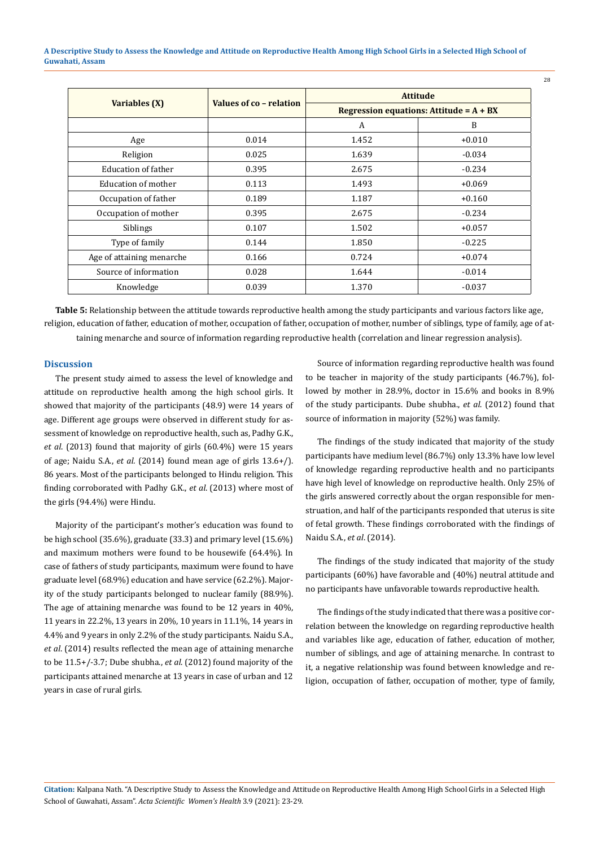**A Descriptive Study to Assess the Knowledge and Attitude on Reproductive Health Among High School Girls in a Selected High School of Guwahati, Assam**

| Variables (X)             | Values of co - relation | <b>Attitude</b>                                             |          |
|---------------------------|-------------------------|-------------------------------------------------------------|----------|
|                           |                         | <b>Regression equations: Attitude = <math>A + BX</math></b> |          |
|                           |                         | A                                                           | B        |
| Age                       | 0.014                   | 1.452                                                       | $+0.010$ |
| Religion                  | 0.025                   | 1.639                                                       | $-0.034$ |
| Education of father       | 0.395                   | 2.675                                                       | $-0.234$ |
| Education of mother       | 0.113                   | 1.493                                                       | $+0.069$ |
| Occupation of father      | 0.189                   | 1.187                                                       | $+0.160$ |
| Occupation of mother      | 0.395                   | 2.675                                                       | $-0.234$ |
| <b>Siblings</b>           | 0.107                   | 1.502                                                       | $+0.057$ |
| Type of family            | 0.144                   | 1.850                                                       | $-0.225$ |
| Age of attaining menarche | 0.166                   | 0.724                                                       | $+0.074$ |
| Source of information     | 0.028                   | 1.644                                                       | $-0.014$ |
| Knowledge                 | 0.039                   | 1.370                                                       | $-0.037$ |

**Table 5:** Relationship between the attitude towards reproductive health among the study participants and various factors like age, religion, education of father, education of mother, occupation of father, occupation of mother, number of siblings, type of family, age of attaining menarche and source of information regarding reproductive health (correlation and linear regression analysis).

#### **Discussion**

The present study aimed to assess the level of knowledge and attitude on reproductive health among the high school girls. It showed that majority of the participants (48.9) were 14 years of age. Different age groups were observed in different study for assessment of knowledge on reproductive health, such as, Padhy G.K., *et al*. (2013) found that majority of girls (60.4%) were 15 years of age; Naidu S.A., *et al.* (2014) found mean age of girls 13.6+/). 86 years. Most of the participants belonged to Hindu religion. This finding corroborated with Padhy G.K., *et al*. (2013) where most of the girls (94.4%) were Hindu.

Majority of the participant's mother's education was found to be high school (35.6%), graduate (33.3) and primary level (15.6%) and maximum mothers were found to be housewife (64.4%). In case of fathers of study participants, maximum were found to have graduate level (68.9%) education and have service (62.2%). Majority of the study participants belonged to nuclear family (88.9%). The age of attaining menarche was found to be 12 years in 40%, 11 years in 22.2%, 13 years in 20%, 10 years in 11.1%, 14 years in 4.4% and 9 years in only 2.2% of the study participants. Naidu S.A., *et al*. (2014) results reflected the mean age of attaining menarche to be 11.5+/-3.7; Dube shubha., *et al*. (2012) found majority of the participants attained menarche at 13 years in case of urban and 12 years in case of rural girls.

Source of information regarding reproductive health was found to be teacher in majority of the study participants (46.7%), followed by mother in 28.9%, doctor in 15.6% and books in 8.9% of the study participants. Dube shubha., *et al*. (2012) found that source of information in majority (52%) was family.

28

The findings of the study indicated that majority of the study participants have medium level (86.7%) only 13.3% have low level of knowledge regarding reproductive health and no participants have high level of knowledge on reproductive health. Only 25% of the girls answered correctly about the organ responsible for menstruation, and half of the participants responded that uterus is site of fetal growth. These findings corroborated with the findings of Naidu S.A., *et al*. (2014).

The findings of the study indicated that majority of the study participants (60%) have favorable and (40%) neutral attitude and no participants have unfavorable towards reproductive health.

The findings of the study indicated that there was a positive correlation between the knowledge on regarding reproductive health and variables like age, education of father, education of mother, number of siblings, and age of attaining menarche. In contrast to it, a negative relationship was found between knowledge and religion, occupation of father, occupation of mother, type of family,